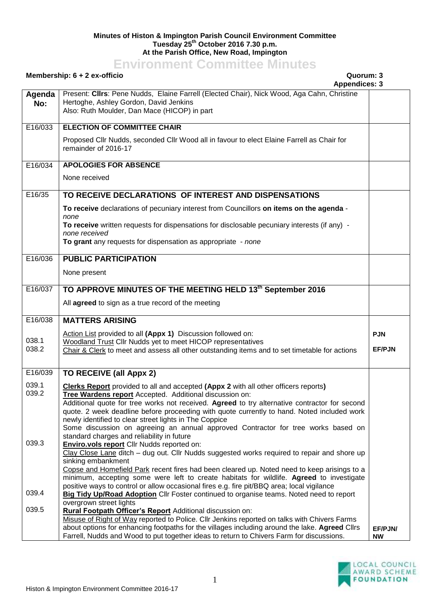## **Minutes of Histon & Impington Parish Council Environment Committee Tuesday 25th October 2016 7.30 p.m. At the Parish Office, New Road, Impington**

## **Environment Committee Minutes**

Present: **Cllrs**: Pene Nudds, Elaine Farrell (Elected Chair), Nick Wood, Aga Cahn, Christine

## **Membership: 6 + 2 ex-officio Quorum: 3**

**Agenda** 

**No:** Hertoghe, Ashley Gordon, David Jenkins Also: Ruth Moulder, Dan Mace (HICOP) in part E16/033 **ELECTION OF COMMITTEE CHAIR** Proposed Cllr Nudds, seconded Cllr Wood all in favour to elect Elaine Farrell as Chair for remainder of 2016-17 E16/034 **APOLOGIES FOR ABSENCE** None received E16/35 **TO RECEIVE DECLARATIONS OF INTEREST AND DISPENSATIONS To receive** declarations of pecuniary interest from Councillors **on items on the agenda** *none* **To receive** written requests for dispensations for disclosable pecuniary interests (if any) *none received* **To grant** any requests for dispensation as appropriate - *none* E16/036 **PUBLIC PARTICIPATION** None present E16/037 **TO APPROVE MINUTES OF THE MEETING HELD 13th September 2016** All **agreed** to sign as a true record of the meeting E16/038 038.1 038.2 **MATTERS ARISING** Action List provided to all **(Appx 1)** Discussion followed on: Woodland Trust Cllr Nudds yet to meet HICOP representatives Chair & Clerk to meet and assess all other outstanding items and to set timetable for actions **PJN EF/PJN** E16/039 039.1 039.2 039.3 039.4 039.5 **TO RECEIVE (all Appx 2) Clerks Report** provided to all and accepted **(Appx 2** with all other officers reports**) Tree Wardens report** Accepted. Additional discussion on: Additional quote for tree works not received. **Agreed** to try alternative contractor for second quote. 2 week deadline before proceeding with quote currently to hand. Noted included work newly identified to clear street lights in The Coppice Some discussion on agreeing an annual approved Contractor for tree works based on standard charges and reliability in future **Enviro.vols report** Cllr Nudds reported on: Clay Close Lane ditch – dug out. Cllr Nudds suggested works required to repair and shore up sinking embankment Copse and Homefield Park recent fires had been cleared up. Noted need to keep arisings to a minimum, accepting some were left to create habitats for wildlife. **Agreed** to investigate positive ways to control or allow occasional fires e.g. fire pit/BBQ area; local vigilance **Big Tidy Up/Road Adoption** Cllr Foster continued to organise teams. Noted need to report overgrown street lights **Rural Footpath Officer's Report** Additional discussion on: Misuse of Right of Way reported to Police. Cllr Jenkins reported on talks with Chivers Farms about options for enhancing footpaths for the villages including around the lake. **Agreed** Cllrs Farrell, Nudds and Wood to put together ideas to return to Chivers Farm for discussions. **EF/PJN/ NW**



**Appendices: 3**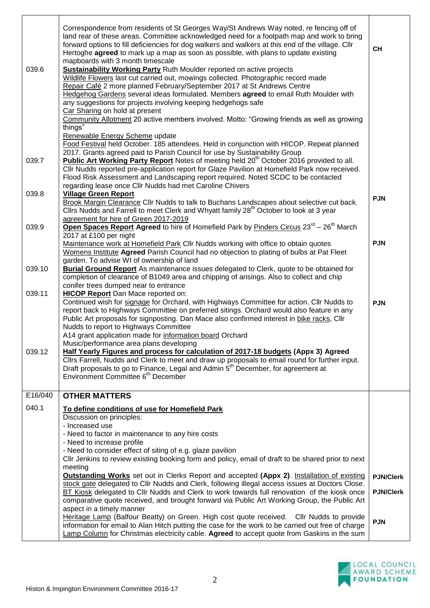| 039.6<br>039.7 | Correspondence from residents of St Georges Way/St Andrews Way noted, re fencing off of<br>land rear of these areas. Committee acknowledged need for a footpath map and work to bring<br>forward options to fill deficiencies for dog walkers and walkers at this end of the village. Cllr<br>Hertoghe agreed to mark up a map as soon as possible, with plans to update existing<br>mapboards with 3 month timescale<br><b>Sustainability Working Party Ruth Moulder reported on active projects</b><br>Wildlife Flowers last cut carried out, mowings collected. Photographic record made<br>Repair Café 2 more planned February/September 2017 at St Andrews Centre<br>Hedgehog Gardens several ideas formulated. Members agreed to email Ruth Moulder with<br>any suggestions for projects involving keeping hedgehogs safe<br>Car Sharing on hold at present<br>Community Allotment 20 active members involved. Motto: "Growing friends as well as growing<br>things"<br>Renewable Energy Scheme update<br>Food Festival held October. 185 attendees. Held in conjunction with HICOP. Repeat planned<br>2017. Grants agreed paid to Parish Council for use by Sustainability Group<br>Public Art Working Party Report Notes of meeting held 20 <sup>th</sup> October 2016 provided to all.<br>CIIr Nudds reported pre-application report for Glaze Pavilion at Homefield Park now received.<br>Flood Risk Assessment and Landscaping report required. Noted SCDC to be contacted | <b>CH</b>        |
|----------------|---------------------------------------------------------------------------------------------------------------------------------------------------------------------------------------------------------------------------------------------------------------------------------------------------------------------------------------------------------------------------------------------------------------------------------------------------------------------------------------------------------------------------------------------------------------------------------------------------------------------------------------------------------------------------------------------------------------------------------------------------------------------------------------------------------------------------------------------------------------------------------------------------------------------------------------------------------------------------------------------------------------------------------------------------------------------------------------------------------------------------------------------------------------------------------------------------------------------------------------------------------------------------------------------------------------------------------------------------------------------------------------------------------------------------------------------------------------------------------------|------------------|
| 039.8          | regarding lease once Cllr Nudds had met Caroline Chivers<br><b>Village Green Report</b><br>Brook Margin Clearance Cllr Nudds to talk to Buchans Landscapes about selective cut back.<br>Cllrs Nudds and Farrell to meet Clerk and Whyatt family 28 <sup>th</sup> October to look at 3 year                                                                                                                                                                                                                                                                                                                                                                                                                                                                                                                                                                                                                                                                                                                                                                                                                                                                                                                                                                                                                                                                                                                                                                                            | <b>PJN</b>       |
| 039.9          | agreement for hire of Green 2017-2019<br>Open Spaces Report Agreed to hire of Homefield Park by Pinders Circus 23 <sup>rd</sup> – 26 <sup>th</sup> March<br>2017 at £100 per night                                                                                                                                                                                                                                                                                                                                                                                                                                                                                                                                                                                                                                                                                                                                                                                                                                                                                                                                                                                                                                                                                                                                                                                                                                                                                                    |                  |
|                | Maintenance work at Homefield Park Cllr Nudds working with office to obtain quotes<br>Womens Institute Agreed Parish Council had no objection to plating of bulbs at Pat Fleet<br>garden. To advise WI of ownership of land                                                                                                                                                                                                                                                                                                                                                                                                                                                                                                                                                                                                                                                                                                                                                                                                                                                                                                                                                                                                                                                                                                                                                                                                                                                           | <b>PJN</b>       |
| 039.10         | <b>Burial Ground Report</b> As maintenance issues delegated to Clerk, quote to be obtained for<br>completion of clearance of B1049 area and chipping of arisings. Also to collect and chip                                                                                                                                                                                                                                                                                                                                                                                                                                                                                                                                                                                                                                                                                                                                                                                                                                                                                                                                                                                                                                                                                                                                                                                                                                                                                            |                  |
| 039.11         | conifer trees dumped near to entrance<br><b>HICOP Report</b> Dan Mace reported on:<br>Continued wish for signage for Orchard, with Highways Committee for action. Cllr Nudds to<br>report back to Highways Committee on preferred sitings. Orchard would also feature in any<br>Public Art proposals for signposting. Dan Mace also confirmed interest in bike racks, Cllr<br>Nudds to report to Highways Committee<br>A14 grant application made for information board Orchard<br>Music/performance area plans developing                                                                                                                                                                                                                                                                                                                                                                                                                                                                                                                                                                                                                                                                                                                                                                                                                                                                                                                                                            | <b>PJN</b>       |
| 039.12         | Half Yearly Figures and process for calculation of 2017-18 budgets (Appx 3) Agreed<br>Cllrs Farrell, Nudds and Clerk to meet and draw up proposals to email round for further input.<br>Draft proposals to go to Finance, Legal and Admin 5 <sup>th</sup> December, for agreement at<br>Environment Committee 6 <sup>th</sup> December                                                                                                                                                                                                                                                                                                                                                                                                                                                                                                                                                                                                                                                                                                                                                                                                                                                                                                                                                                                                                                                                                                                                                |                  |
| E16/040        | <b>OTHER MATTERS</b>                                                                                                                                                                                                                                                                                                                                                                                                                                                                                                                                                                                                                                                                                                                                                                                                                                                                                                                                                                                                                                                                                                                                                                                                                                                                                                                                                                                                                                                                  |                  |
| 040.1          | To define conditions of use for Homefield Park                                                                                                                                                                                                                                                                                                                                                                                                                                                                                                                                                                                                                                                                                                                                                                                                                                                                                                                                                                                                                                                                                                                                                                                                                                                                                                                                                                                                                                        |                  |
|                | Discussion on principles:<br>- Increased use                                                                                                                                                                                                                                                                                                                                                                                                                                                                                                                                                                                                                                                                                                                                                                                                                                                                                                                                                                                                                                                                                                                                                                                                                                                                                                                                                                                                                                          |                  |
|                | - Need to factor in maintenance to any hire costs                                                                                                                                                                                                                                                                                                                                                                                                                                                                                                                                                                                                                                                                                                                                                                                                                                                                                                                                                                                                                                                                                                                                                                                                                                                                                                                                                                                                                                     |                  |
|                | - Need to increase profile                                                                                                                                                                                                                                                                                                                                                                                                                                                                                                                                                                                                                                                                                                                                                                                                                                                                                                                                                                                                                                                                                                                                                                                                                                                                                                                                                                                                                                                            |                  |
|                | - Need to consider effect of siting of e.g. glaze pavilion<br>CIIr Jenkins to review existing booking form and policy, email of draft to be shared prior to next<br>meeting                                                                                                                                                                                                                                                                                                                                                                                                                                                                                                                                                                                                                                                                                                                                                                                                                                                                                                                                                                                                                                                                                                                                                                                                                                                                                                           |                  |
|                | <b>Outstanding Works</b> set out in Clerks Report and accepted (Appx 2). Installation of existing                                                                                                                                                                                                                                                                                                                                                                                                                                                                                                                                                                                                                                                                                                                                                                                                                                                                                                                                                                                                                                                                                                                                                                                                                                                                                                                                                                                     | <b>PJN/Clerk</b> |
|                | stock gate delegated to Cllr Nudds and Clerk, following illegal access issues at Doctors Close.<br>BT Kiosk delegated to Cllr Nudds and Clerk to work towards full renovation of the kiosk once<br>comparative quote received, and brought forward via Public Art Working Group, the Public Art<br>aspect in a timely manner                                                                                                                                                                                                                                                                                                                                                                                                                                                                                                                                                                                                                                                                                                                                                                                                                                                                                                                                                                                                                                                                                                                                                          | <b>PJN/Clerk</b> |
|                | Heritage Lamp (Balfour Beatty) on Green. High cost quote received.  Cllr Nudds to provide<br>information for email to Alan Hitch putting the case for the work to be carried out free of charge<br>Lamp Column for Christmas electricity cable. Agreed to accept quote from Gaskins in the sum                                                                                                                                                                                                                                                                                                                                                                                                                                                                                                                                                                                                                                                                                                                                                                                                                                                                                                                                                                                                                                                                                                                                                                                        | <b>PJN</b>       |